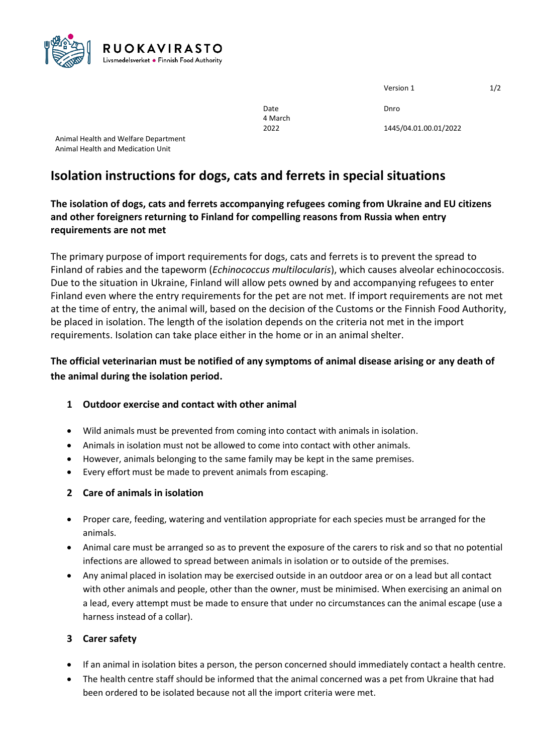

| Version 1 | 1/2 |
|-----------|-----|
|           |     |

Date Date Dhro

2022 1445/04.01.00.01/2022

Animal Health and Welfare Department Animal Health and Medication Unit

# **Isolation instructions for dogs, cats and ferrets in special situations**

# **The isolation of dogs, cats and ferrets accompanying refugees coming from Ukraine and EU citizens and other foreigners returning to Finland for compelling reasons from Russia when entry requirements are not met**

4 March

The primary purpose of import requirements for dogs, cats and ferrets is to prevent the spread to Finland of rabies and the tapeworm (*Echinococcus multilocularis*), which causes alveolar echinococcosis. Due to the situation in Ukraine, Finland will allow pets owned by and accompanying refugees to enter Finland even where the entry requirements for the pet are not met. If import requirements are not met at the time of entry, the animal will, based on the decision of the Customs or the Finnish Food Authority, be placed in isolation. The length of the isolation depends on the criteria not met in the import requirements. Isolation can take place either in the home or in an animal shelter.

**The official veterinarian must be notified of any symptoms of animal disease arising or any death of the animal during the isolation period.**

## **1 Outdoor exercise and contact with other animal**

- Wild animals must be prevented from coming into contact with animals in isolation.
- Animals in isolation must not be allowed to come into contact with other animals.
- However, animals belonging to the same family may be kept in the same premises.
- Every effort must be made to prevent animals from escaping.

## **2 Care of animals in isolation**

- Proper care, feeding, watering and ventilation appropriate for each species must be arranged for the animals.
- Animal care must be arranged so as to prevent the exposure of the carers to risk and so that no potential infections are allowed to spread between animals in isolation or to outside of the premises.
- Any animal placed in isolation may be exercised outside in an outdoor area or on a lead but all contact with other animals and people, other than the owner, must be minimised. When exercising an animal on a lead, every attempt must be made to ensure that under no circumstances can the animal escape (use a harness instead of a collar).

## **3 Carer safety**

- If an animal in isolation bites a person, the person concerned should immediately contact a health centre.
- The health centre staff should be informed that the animal concerned was a pet from Ukraine that had been ordered to be isolated because not all the import criteria were met.